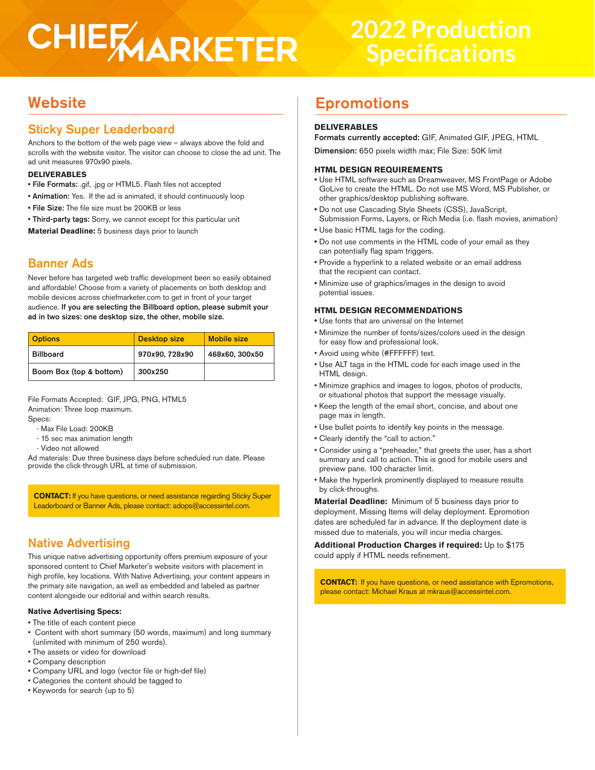## CHIERAARKETER

## **2022 Production Specifications**

## Sticky Super Leaderboard

Anchors to the bottom of the web page view – always above the fold and scrolls with the website visitor. The visitor can choose to close the ad unit. The ad unit measures 970x90 pixels.

## **DELIVERABLES**

- File Formats: .gif, .jpg or HTML5. Flash files not accepted
- Animation: Yes. If the ad is animated, it should continuously loop
- File Size: The file size must be 200KB or less
- Third-party tags: Sorry, we cannot except for this particular unit

**Material Deadline:** 5 business days prior to launch

## Banner Ads

Never before has targeted web traffic development been so easily obtained and affordable! Choose from a variety of placements on both desktop and mobile devices across chiefmarketer.com to get in front of your target audience. If you are selecting the Billboard option, please submit your ad in two sizes: one desktop size, the other, mobile size.

| <b>Options</b>          | <b>Desktop size</b> | <b>Mobile size</b> |
|-------------------------|---------------------|--------------------|
| <b>Billboard</b>        | 970x90, 728x90      | 468x60, 300x50     |
| Boom Box (top & bottom) | 300x250             |                    |

File Formats Accepted: GIF, JPG, PNG, HTML5 Animation: Three loop maximum. Specs:

- Max File Load: 200KB
- 15 sec max animation length
- Video not allowed

Ad materials: Due three business days before scheduled run date. Please provide the click-through URL at time of submission.

**CONTACT:** If you have questions, or need assistance regarding Sticky Super Leaderboard or Banner Ads, please contact: adops@accessintel.com.

## Native Advertising

This unique native advertising opportunity offers premium exposure of your sponsored content to Chief Marketer's website visitors with placement in high profile, key locations. With Native Advertising, your content appears in the primary site navigation, as well as embedded and labeled as partner content alongside our editorial and within search results.

## **Native Advertising Specs:**

- The title of each content piece
- Content with short summary (50 words, maximum) and long summary (unlimited with minimum of 250 words).
- The assets or video for download
- Company description
- Company URL and logo (vector file or high-def file)
- Categories the content should be tagged to
- Keywords for search (up to 5)

## Website **Epromotions**

## **DELIVERABLES**

Formats currently accepted: GIF, Animated GIF, JPEG, HTML

Dimension: 650 pixels width max; File Size: 50K limit

## **HTML DESIGN REQUIREMENTS**

- Use HTML software such as Dreamweaver, MS FrontPage or Adobe GoLive to create the HTML. Do not use MS Word, MS Publisher, or other graphics/desktop publishing software.
- Do not use Cascading Style Sheets (CSS), JavaScript, Submission Forms, Layers, or Rich Media (i.e. flash movies, animation)
- Use basic HTML tags for the coding.
- Do not use comments in the HTML code of your email as they can potentially flag spam triggers.
- Provide a hyperlink to a related website or an email address that the recipient can contact.
- Minimize use of graphics/images in the design to avoid potential issues.

## **HTML DESIGN RECOMMENDATIONS**

- Use fonts that are universal on the Internet
- Minimize the number of fonts/sizes/colors used in the design for easy flow and professional look.
- Avoid using white (#FFFFFF) text.
- Use ALT tags in the HTML code for each image used in the HTML design.
- Minimize graphics and images to logos, photos of products, or situational photos that support the message visually.
- Keep the length of the email short, concise, and about one page max in length.
- Use bullet points to identify key points in the message.
- Clearly identify the "call to action."
- Consider using a "preheader," that greets the user, has a short summary and call to action. This is good for mobile users and preview pane. 100 character limit.
- Make the hyperlink prominently displayed to measure results by click-throughs.

**Material Deadline:** Minimum of 5 business days prior to deployment. Missing Items will delay deployment. Epromotion dates are scheduled far in advance. If the deployment date is missed due to materials, you will incur media charges.

**Additional Production Charges if required:** Up to \$175 could apply if HTML needs refinement.

**CONTACT:** If you have questions, or need assistance with Epromotions, please contact: Michael Kraus at mkraus@accessintel.com.